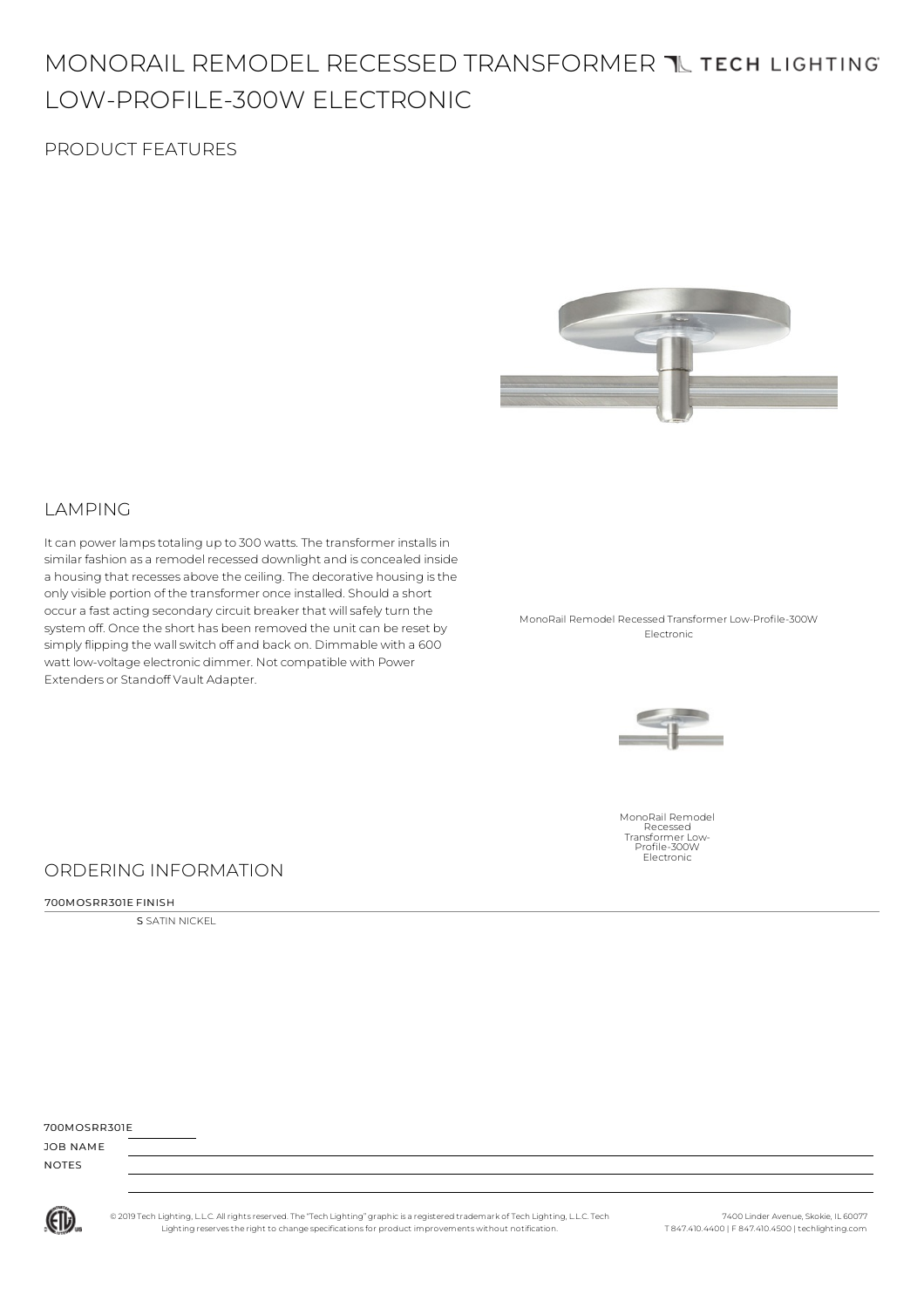# MONORAIL REMODEL RECESSED TRANSFORMER TUTECH LIGHTING LOW-PROFILE-300W ELECTRONIC

## PRODUCT FEATURES



### LAMPING

It can power lamps totaling up to 300 watts. The transformer installs in similar fashion as a remodel recessed downlight and is concealed inside a housing that recesses above the ceiling. The decorative housing isthe onlyvisible portion of the transformer once installed. Should a short occur a fast acting secondarycircuit breaker that willsafelyturn the system off. Once the short has been removed the unit can be reset by simply flipping the wall switch off and back on. Dimmable with a 600 watt low-voltage electronic dimmer. Not compatible with Power Extenders or Standoff Vault Adapter.

MonoRail Remodel Recessed Transformer Low-Profile-300W Electronic



MonoRail Remodel Recessed Transformer Low-Profile-300W Electronic

### ORDERING INFORMATION

#### 700MOSRR301E FINISH

**S** SATIN NICKEL

| JOB NAME     |  |
|--------------|--|
| <b>NOTES</b> |  |

700MOSRR301E

(ETL)

© 2019 Tech Lighting, L.L.C. All rightsreserved. The "Tech Lighting" graphicis a registered trademark of Tech Lighting, L.L.C. Tech Lighting reservesthe right to change specificationsfor product improvements without notification.

7400 Linder Avenue, Skokie, IL 60077 T 847.410.4400 | F 847.410.4500 | techlighting.com